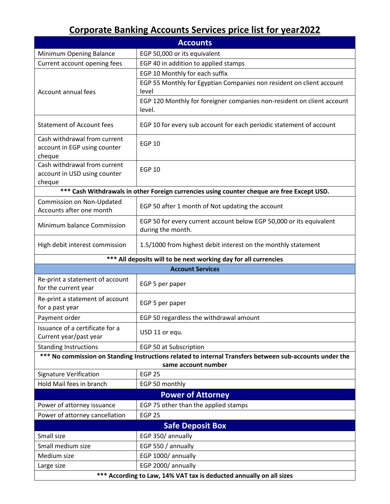## **Corporate Banking Accounts Services price list for year2022**

| <b>Accounts</b>                                                                                                                |                                                                                          |  |
|--------------------------------------------------------------------------------------------------------------------------------|------------------------------------------------------------------------------------------|--|
| Minimum Opening Balance                                                                                                        | EGP 50,000 or its equivalent                                                             |  |
| Current account opening fees                                                                                                   | EGP 40 in addition to applied stamps                                                     |  |
| Account annual fees                                                                                                            | EGP 10 Monthly for each suffix                                                           |  |
|                                                                                                                                | EGP 55 Monthly for Egyptian Companies non resident on client account<br>level            |  |
|                                                                                                                                | EGP 120 Monthly for foreigner companies non-resident on client account<br>level.         |  |
| <b>Statement of Account fees</b>                                                                                               | EGP 10 for every sub account for each periodic statement of account                      |  |
| Cash withdrawal from current<br>account in EGP using counter<br>cheque                                                         | <b>EGP 10</b>                                                                            |  |
| Cash withdrawal from current<br>account in USD using counter<br>cheque                                                         | <b>EGP 10</b>                                                                            |  |
| *** Cash Withdrawals in other Foreign currencies using counter cheque are free Except USD.                                     |                                                                                          |  |
| Commission on Non-Updated<br>Accounts after one month                                                                          | EGP 50 after 1 month of Not updating the account                                         |  |
| Minimum balance Commission                                                                                                     | EGP 50 for every current account below EGP 50,000 or its equivalent<br>during the month. |  |
| High debit interest commission                                                                                                 | 1.5/1000 from highest debit interest on the monthly statement                            |  |
|                                                                                                                                | *** All deposits will to be next working day for all currencies                          |  |
|                                                                                                                                | <b>Account Services</b>                                                                  |  |
| Re-print a statement of account<br>for the current year                                                                        | EGP 5 per paper                                                                          |  |
| Re-print a statement of account<br>for a past year                                                                             | EGP 5 per paper                                                                          |  |
| Payment order                                                                                                                  | EGP 50 regardless the withdrawal amount                                                  |  |
| Issuance of a certificate for a<br>Current year/past year                                                                      | USD 11 or equ.                                                                           |  |
| <b>Standing Instructions</b>                                                                                                   | EGP 50 at Subscription                                                                   |  |
| *** No commission on Standing Instructions related to internal Transfers between sub-accounts under the<br>same account number |                                                                                          |  |
| <b>Signature Verification</b>                                                                                                  | <b>EGP 25</b>                                                                            |  |
| Hold Mail fees in branch                                                                                                       | EGP 50 monthly                                                                           |  |
| <b>Power of Attorney</b>                                                                                                       |                                                                                          |  |
| Power of attorney issuance                                                                                                     | EGP 75 other than the applied stamps                                                     |  |
| Power of attorney cancellation                                                                                                 | <b>EGP 25</b>                                                                            |  |
| <b>Safe Deposit Box</b>                                                                                                        |                                                                                          |  |
| Small size                                                                                                                     | EGP 350/ annually                                                                        |  |
| Small medium size                                                                                                              | EGP 550 / annually                                                                       |  |
| Medium size                                                                                                                    | EGP 1000/ annually                                                                       |  |
| Large size                                                                                                                     | EGP 2000/ annually                                                                       |  |
| *** According to Law, 14% VAT tax is deducted annually on all sizes                                                            |                                                                                          |  |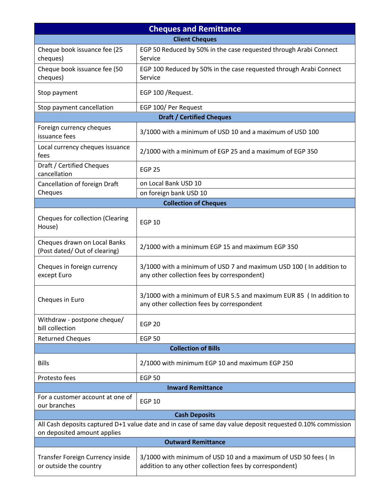| <b>Cheques and Remittance</b>                                                                                                             |                                                                                                                            |  |
|-------------------------------------------------------------------------------------------------------------------------------------------|----------------------------------------------------------------------------------------------------------------------------|--|
| <b>Client Cheques</b>                                                                                                                     |                                                                                                                            |  |
| Cheque book issuance fee (25<br>cheques)                                                                                                  | EGP 50 Reduced by 50% in the case requested through Arabi Connect<br>Service                                               |  |
| Cheque book issuance fee (50<br>cheques)                                                                                                  | EGP 100 Reduced by 50% in the case requested through Arabi Connect<br>Service                                              |  |
| Stop payment                                                                                                                              | EGP 100 / Request.                                                                                                         |  |
| Stop payment cancellation                                                                                                                 | EGP 100/ Per Request                                                                                                       |  |
| <b>Draft / Certified Cheques</b>                                                                                                          |                                                                                                                            |  |
| Foreign currency cheques<br>issuance fees                                                                                                 | 3/1000 with a minimum of USD 10 and a maximum of USD 100                                                                   |  |
| Local currency cheques issuance<br>fees                                                                                                   | 2/1000 with a minimum of EGP 25 and a maximum of EGP 350                                                                   |  |
| Draft / Certified Cheques<br>cancellation                                                                                                 | <b>EGP 25</b>                                                                                                              |  |
| Cancellation of foreign Draft                                                                                                             | on Local Bank USD 10                                                                                                       |  |
| Cheques                                                                                                                                   | on foreign bank USD 10                                                                                                     |  |
| <b>Collection of Cheques</b>                                                                                                              |                                                                                                                            |  |
| Cheques for collection (Clearing<br>House)                                                                                                | <b>EGP 10</b>                                                                                                              |  |
| Cheques drawn on Local Banks<br>(Post dated/Out of clearing)                                                                              | 2/1000 with a minimum EGP 15 and maximum EGP 350                                                                           |  |
| Cheques in foreign currency<br>except Euro                                                                                                | 3/1000 with a minimum of USD 7 and maximum USD 100 (In addition to<br>any other collection fees by correspondent)          |  |
| Cheques in Euro                                                                                                                           | 3/1000 with a minimum of EUR 5.5 and maximum EUR 85 ( In addition to<br>any other collection fees by correspondent         |  |
| Withdraw - postpone cheque/<br>bill collection                                                                                            | <b>EGP 20</b>                                                                                                              |  |
| <b>Returned Cheques</b>                                                                                                                   | <b>EGP 50</b>                                                                                                              |  |
| <b>Collection of Bills</b>                                                                                                                |                                                                                                                            |  |
| <b>Bills</b>                                                                                                                              | 2/1000 with minimum EGP 10 and maximum EGP 250                                                                             |  |
| Protesto fees                                                                                                                             | <b>EGP 50</b>                                                                                                              |  |
| <b>Inward Remittance</b>                                                                                                                  |                                                                                                                            |  |
| For a customer account at one of<br>our branches                                                                                          | <b>EGP 10</b>                                                                                                              |  |
| <b>Cash Deposits</b>                                                                                                                      |                                                                                                                            |  |
| All Cash deposits captured D+1 value date and in case of same day value deposit requested 0.10% commission<br>on deposited amount applies |                                                                                                                            |  |
| <b>Outward Remittance</b>                                                                                                                 |                                                                                                                            |  |
| Transfer Foreign Currency inside<br>or outside the country                                                                                | 3/1000 with minimum of USD 10 and a maximum of USD 50 fees ( In<br>addition to any other collection fees by correspondent) |  |